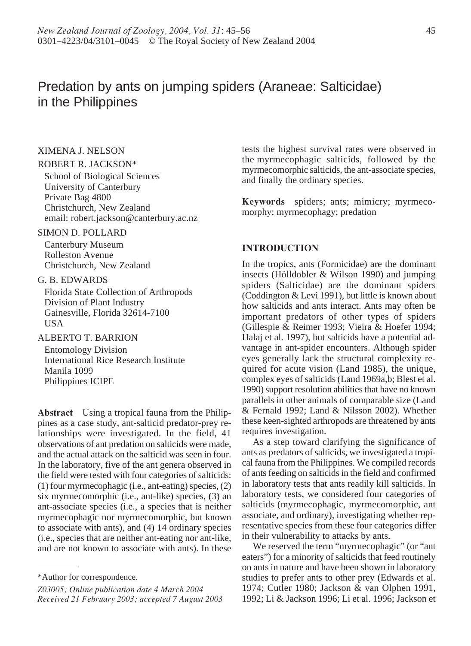# Predation by ants on jumping spiders (Araneae: Salticidae) in the Philippines

# XIMENA J. NELSON

# ROBERT R. JACKSON\*

School of Biological Sciences University of Canterbury Private Bag 4800 Christchurch, New Zealand email: robert.jackson@canterbury.ac.nz

#### SIMON D. POLLARD

Canterbury Museum Rolleston Avenue Christchurch, New Zealand

# G. B. EDWARDS

Florida State Collection of Arthropods Division of Plant Industry Gainesville, Florida 32614-7100 USA

#### ALBERTO T. BARRION

Entomology Division International Rice Research Institute Manila 1099 Philippines ICIPE

**Abstract** Using a tropical fauna from the Philippines as a case study, ant-salticid predator-prey relationships were investigated. In the field, 41 observations of ant predation on salticids were made, and the actual attack on the salticid was seen in four. In the laboratory, five of the ant genera observed in the field were tested with four categories of salticids: (1) four myrmecophagic (i.e., ant-eating) species, (2) six myrmecomorphic (i.e., ant-like) species, (3) an ant-associate species (i.e., a species that is neither myrmecophagic nor myrmecomorphic, but known to associate with ants), and (4) 14 ordinary species (i.e., species that are neither ant-eating nor ant-like, and are not known to associate with ants). In these

*Z03005; Online publication date 4 March 2004 Received 21 February 2003; accepted 7 August 2003* tests the highest survival rates were observed in the myrmecophagic salticids, followed by the myrmecomorphic salticids, the ant-associate species, and finally the ordinary species.

**Keywords** spiders; ants; mimicry; myrmecomorphy; myrmecophagy; predation

# **INTRODUCTION**

In the tropics, ants (Formicidae) are the dominant insects (Hölldobler & Wilson 1990) and jumping spiders (Salticidae) are the dominant spiders (Coddington & Levi 1991), but little is known about how salticids and ants interact. Ants may often be important predators of other types of spiders (Gillespie & Reimer 1993; Vieira & Hoefer 1994; Halaj et al. 1997), but salticids have a potential advantage in ant-spider encounters. Although spider eyes generally lack the structural complexity required for acute vision (Land 1985), the unique, complex eyes of salticids (Land 1969a,b; Blest et al. 1990) support resolution abilities that have no known parallels in other animals of comparable size (Land & Fernald 1992; Land & Nilsson 2002). Whether these keen-sighted arthropods are threatened by ants requires investigation.

As a step toward clarifying the significance of ants as predators of salticids, we investigated a tropical fauna from the Philippines. We compiled records of ants feeding on salticids in the field and confirmed in laboratory tests that ants readily kill salticids. In laboratory tests, we considered four categories of salticids (myrmecophagic, myrmecomorphic, ant associate, and ordinary), investigating whether representative species from these four categories differ in their vulnerability to attacks by ants.

We reserved the term "myrmecophagic" (or "ant eaters") for a minority of salticids that feed routinely on ants in nature and have been shown in laboratory studies to prefer ants to other prey (Edwards et al. 1974; Cutler 1980; Jackson & van Olphen 1991, 1992; Li & Jackson 1996; Li et al. 1996; Jackson et

<sup>\*</sup>Author for correspondence.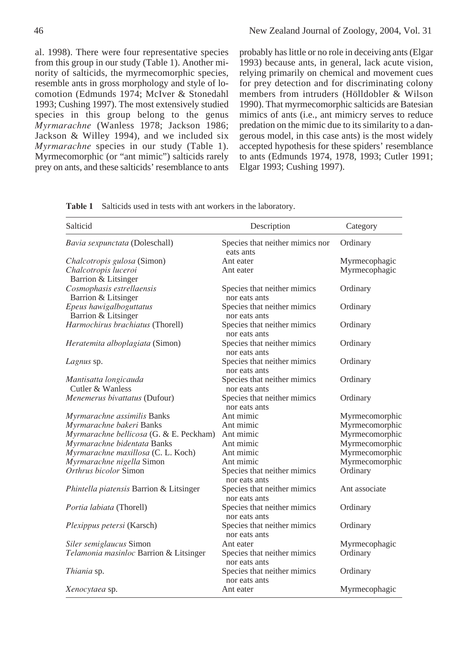al. 1998). There were four representative species from this group in our study (Table 1). Another minority of salticids, the myrmecomorphic species, resemble ants in gross morphology and style of locomotion (Edmunds 1974; McIver & Stonedahl 1993; Cushing 1997). The most extensively studied species in this group belong to the genus *Myrmarachne* (Wanless 1978; Jackson 1986; Jackson & Willey 1994), and we included six *Myrmarachne* species in our study (Table 1). Myrmecomorphic (or "ant mimic") salticids rarely prey on ants, and these salticids' resemblance to ants probably has little or no role in deceiving ants (Elgar 1993) because ants, in general, lack acute vision, relying primarily on chemical and movement cues for prey detection and for discriminating colony members from intruders (Hölldobler & Wilson 1990). That myrmecomorphic salticids are Batesian mimics of ants (i.e., ant mimicry serves to reduce predation on the mimic due to its similarity to a dangerous model, in this case ants) is the most widely accepted hypothesis for these spiders' resemblance to ants (Edmunds 1974, 1978, 1993; Cutler 1991; Elgar 1993; Cushing 1997).

| Salticid                                | Description                                  | Category       |
|-----------------------------------------|----------------------------------------------|----------------|
| Bavia sexpunctata (Doleschall)          | Species that neither mimics nor<br>eats ants | Ordinary       |
| Chalcotropis gulosa (Simon)             | Ant eater                                    | Myrmecophagic  |
| Chalcotropis luceroi                    | Ant eater                                    | Myrmecophagic  |
| Barrion & Litsinger                     |                                              |                |
| Cosmophasis estrellaensis               | Species that neither mimics                  | Ordinary       |
| Barrion & Litsinger                     | nor eats ants                                |                |
| Epeus hawigalboguttatus                 | Species that neither mimics<br>nor eats ants | Ordinary       |
| Barrion & Litsinger                     |                                              |                |
| Harmochirus brachiatus (Thorell)        | Species that neither mimics<br>nor eats ants | Ordinary       |
| Heratemita alboplagiata (Simon)         | Species that neither mimics<br>nor eats ants | Ordinary       |
| Lagnus sp.                              | Species that neither mimics<br>nor eats ants | Ordinary       |
| Mantisatta longicauda                   | Species that neither mimics                  | Ordinary       |
| Cutler & Wanless                        | nor eats ants                                |                |
| Menemerus bivattatus (Dufour)           | Species that neither mimics<br>nor eats ants | Ordinary       |
| Myrmarachne assimilis Banks             | Ant mimic                                    | Myrmecomorphic |
| Myrmarachne bakeri Banks                | Ant mimic                                    | Myrmecomorphic |
| Myrmarachne bellicosa (G. & E. Peckham) | Ant mimic                                    | Myrmecomorphic |
| Myrmarachne bidentata Banks             | Ant mimic                                    | Myrmecomorphic |
| Myrmarachne maxillosa (C. L. Koch)      | Ant mimic                                    | Myrmecomorphic |
| Myrmarachne nigella Simon               | Ant mimic                                    | Myrmecomorphic |
| Orthrus bicolor Simon                   | Species that neither mimics<br>nor eats ants | Ordinary       |
| Phintella piatensis Barrion & Litsinger | Species that neither mimics<br>nor eats ants | Ant associate  |
| Portia labiata (Thorell)                | Species that neither mimics<br>nor eats ants | Ordinary       |
| <i>Plexippus petersi</i> (Karsch)       | Species that neither mimics<br>nor eats ants | Ordinary       |
| Siler semiglaucus Simon                 | Ant eater                                    | Myrmecophagic  |
| Telamonia masinloc Barrion & Litsinger  | Species that neither mimics<br>nor eats ants | Ordinary       |
| Thiania sp.                             | Species that neither mimics<br>nor eats ants | Ordinary       |
| Xenocytaea sp.                          | Ant eater                                    | Myrmecophagic  |

|  |  |  |  | <b>Table 1</b> Salticids used in tests with ant workers in the laboratory. |  |  |
|--|--|--|--|----------------------------------------------------------------------------|--|--|
|--|--|--|--|----------------------------------------------------------------------------|--|--|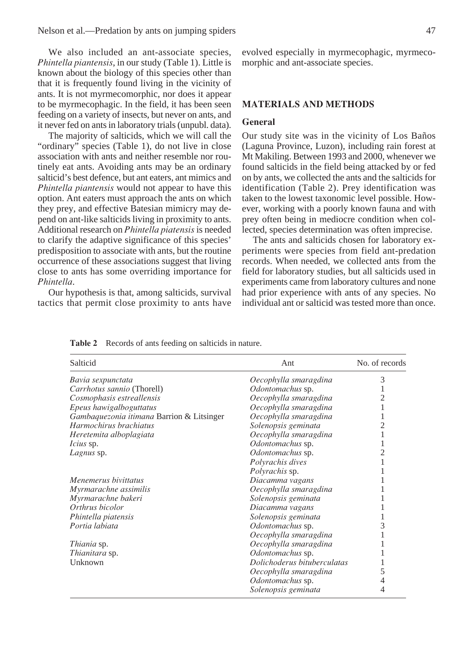We also included an ant-associate species, *Phintella piantensis*, in our study (Table 1). Little is known about the biology of this species other than that it is frequently found living in the vicinity of ants. It is not myrmecomorphic, nor does it appear to be myrmecophagic. In the field, it has been seen feeding on a variety of insects, but never on ants, and it never fed on ants in laboratory trials (unpubl. data).

The majority of salticids, which we will call the "ordinary" species (Table 1), do not live in close association with ants and neither resemble nor routinely eat ants. Avoiding ants may be an ordinary salticid's best defence, but ant eaters, ant mimics and *Phintella piantensis* would not appear to have this option. Ant eaters must approach the ants on which they prey, and effective Batesian mimicry may depend on ant-like salticids living in proximity to ants. Additional research on *Phintella piatensis* is needed to clarify the adaptive significance of this species' predisposition to associate with ants, but the routine occurrence of these associations suggest that living close to ants has some overriding importance for *Phintella*.

Our hypothesis is that, among salticids, survival tactics that permit close proximity to ants have evolved especially in myrmecophagic, myrmecomorphic and ant-associate species.

### **MATERIALS AND METHODS**

#### **General**

Our study site was in the vicinity of Los Baños (Laguna Province, Luzon), including rain forest at Mt Makiling. Between 1993 and 2000, whenever we found salticids in the field being attacked by or fed on by ants, we collected the ants and the salticids for identification (Table 2). Prey identification was taken to the lowest taxonomic level possible. However, working with a poorly known fauna and with prey often being in mediocre condition when collected, species determination was often imprecise.

The ants and salticids chosen for laboratory experiments were species from field ant-predation records. When needed, we collected ants from the field for laboratory studies, but all salticids used in experiments came from laboratory cultures and none had prior experience with ants of any species. No individual ant or salticid was tested more than once.

**Table 2** Records of ants feeding on salticids in nature.

| Salticid                                  | Ant                         | No. of records |
|-------------------------------------------|-----------------------------|----------------|
| Bavia sexpunctata                         | Oecophylla smaragdina       | 3              |
| Carrhotus sannio (Thorell)                | Odontomachus sp.            |                |
| Cosmophasis estreallensis                 | Oecophylla smaragdina       | 2              |
| Epeus hawigalboguttatus                   | Oecophylla smaragdina       |                |
| Gambaquezonia itimana Barrion & Litsinger | Oecophylla smaragdina       |                |
| Harmochirus brachiatus                    | Solenopsis geminata         | 2              |
| Heretemita alboplagiata                   | Oecophylla smaragdina       |                |
| <i>Icius</i> sp.                          | Odontomachus sp.            |                |
| Lagnus sp.                                | Odontomachus sp.            | 2              |
|                                           | Polyrachis dives            |                |
|                                           | <i>Polyrachis</i> sp.       |                |
| Menemerus bivittatus                      | Diacamma vagans             |                |
| Myrmarachne assimilis                     | Oecophylla smaragdina       |                |
| Myrmarachne bakeri                        | Solenopsis geminata         |                |
| Orthrus bicolor                           | Diacamma vagans             |                |
| Phintella piatensis                       | Solenopsis geminata         |                |
| Portia labiata                            | Odontomachus sp.            | 3              |
|                                           | Oecophylla smaragdina       |                |
| Thiania sp.                               | Oecophylla smaragdina       |                |
| Thianitara sp.                            | Odontomachus sp.            |                |
| Unknown                                   | Dolichoderus bituberculatas |                |
|                                           | Oecophylla smaragdina       | 5              |
|                                           | Odontomachus sp.            |                |
|                                           | Solenopsis geminata         | 4              |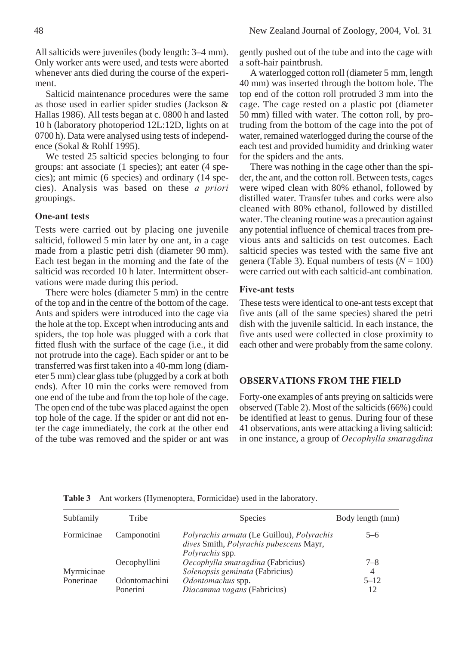All salticids were juveniles (body length: 3–4 mm). Only worker ants were used, and tests were aborted whenever ants died during the course of the experiment.

Salticid maintenance procedures were the same as those used in earlier spider studies (Jackson & Hallas 1986). All tests began at c. 0800 h and lasted 10 h (laboratory photoperiod 12L:12D, lights on at 0700 h). Data were analysed using tests of independence (Sokal & Rohlf 1995).

We tested 25 salticid species belonging to four groups: ant associate (1 species); ant eater (4 species); ant mimic (6 species) and ordinary (14 species). Analysis was based on these *a priori* groupings.

#### **One-ant tests**

Tests were carried out by placing one juvenile salticid, followed 5 min later by one ant, in a cage made from a plastic petri dish (diameter 90 mm). Each test began in the morning and the fate of the salticid was recorded 10 h later. Intermittent observations were made during this period.

There were holes (diameter 5 mm) in the centre of the top and in the centre of the bottom of the cage. Ants and spiders were introduced into the cage via the hole at the top. Except when introducing ants and spiders, the top hole was plugged with a cork that fitted flush with the surface of the cage (i.e., it did not protrude into the cage). Each spider or ant to be transferred was first taken into a 40-mm long (diameter 5 mm) clear glass tube (plugged by a cork at both ends). After 10 min the corks were removed from one end of the tube and from the top hole of the cage. The open end of the tube was placed against the open top hole of the cage. If the spider or ant did not enter the cage immediately, the cork at the other end of the tube was removed and the spider or ant was

gently pushed out of the tube and into the cage with a soft-hair paintbrush.

A waterlogged cotton roll (diameter 5 mm, length 40 mm) was inserted through the bottom hole. The top end of the cotton roll protruded 3 mm into the cage. The cage rested on a plastic pot (diameter 50 mm) filled with water. The cotton roll, by protruding from the bottom of the cage into the pot of water, remained waterlogged during the course of the each test and provided humidity and drinking water for the spiders and the ants.

There was nothing in the cage other than the spider, the ant, and the cotton roll. Between tests, cages were wiped clean with 80% ethanol, followed by distilled water. Transfer tubes and corks were also cleaned with 80% ethanol, followed by distilled water. The cleaning routine was a precaution against any potential influence of chemical traces from previous ants and salticids on test outcomes. Each salticid species was tested with the same five ant genera (Table 3). Equal numbers of tests  $(N = 100)$ were carried out with each salticid-ant combination.

#### **Five-ant tests**

These tests were identical to one-ant tests except that five ants (all of the same species) shared the petri dish with the juvenile salticid. In each instance, the five ants used were collected in close proximity to each other and were probably from the same colony.

## **OBSERVATIONS FROM THE FIELD**

Forty-one examples of ants preying on salticids were observed (Table 2). Most of the salticids (66%) could be identified at least to genus. During four of these 41 observations, ants were attacking a living salticid: in one instance, a group of *Oecophylla smaragdina*

| Subfamily  | Tribe                     | <b>Species</b>                                                                                                  | Body length (mm) |
|------------|---------------------------|-----------------------------------------------------------------------------------------------------------------|------------------|
| Formicinae | Camponotini               | Polyrachis armata (Le Guillou), Polyrachis<br>dives Smith, Polyrachis pubescens Mayr,<br><i>Polyrachis</i> spp. | $5 - 6$          |
| Myrmicinae | Oecophyllini              | Oecophylla smaragdina (Fabricius)<br>Solenopsis geminata (Fabricius)                                            | $7 - 8$<br>4     |
| Ponerinae  | Odontomachini<br>Ponerini | Odontomachus spp.<br>Diacamma vagans (Fabricius)                                                                | $5 - 12$<br>12   |

**Table 3** Ant workers (Hymenoptera, Formicidae) used in the laboratory.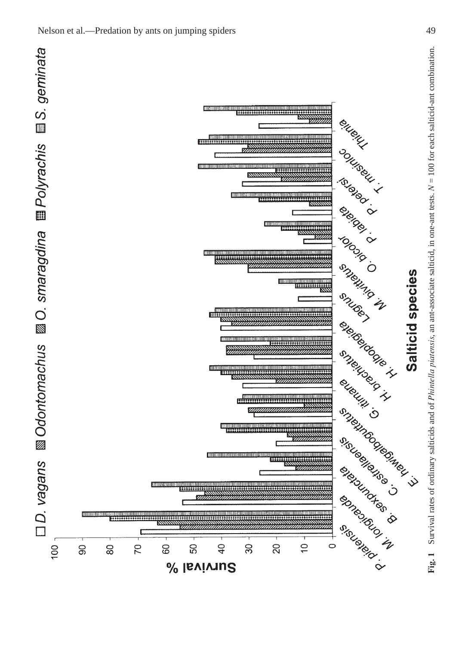Nelson et al.—Predation by ants on jumping spiders 49

*N* = 100 for each salticid-ant combination.

**Fig. 1** Survival rates of ordinary salticids and of *Phintella piatensis*, an ant-associate salticid, in one-ant tests.

Fig. 1 Survival rates of ordinary salticids and of *Phintella piatensis*, an ant-associate salticid, in one-ant tests.  $N = 100$  for each salticid-ant combination.

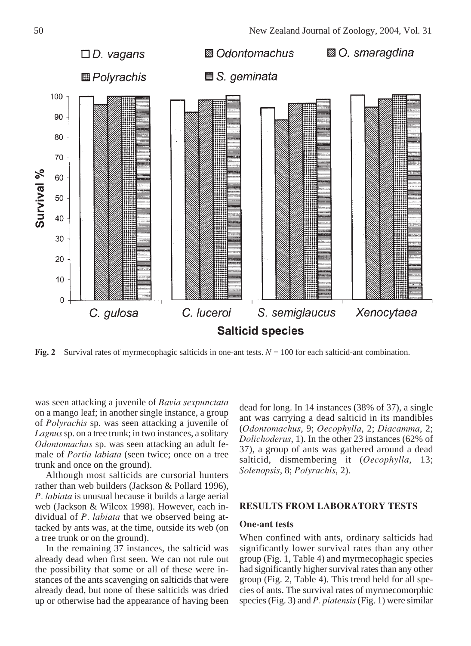

**Fig. 2** Survival rates of myrmecophagic salticids in one-ant tests. *N* = 100 for each salticid-ant combination.

was seen attacking a juvenile of *Bavia sexpunctata* on a mango leaf; in another single instance, a group of *Polyrachis* sp. was seen attacking a juvenile of *Lagnus* sp. on a tree trunk; in two instances, a solitary *Odontomachus* sp. was seen attacking an adult female of *Portia labiata* (seen twice; once on a tree trunk and once on the ground).

Although most salticids are cursorial hunters rather than web builders (Jackson & Pollard 1996), *P. labiata* is unusual because it builds a large aerial web (Jackson & Wilcox 1998). However, each individual of *P. labiata* that we observed being attacked by ants was, at the time, outside its web (on a tree trunk or on the ground).

In the remaining 37 instances, the salticid was already dead when first seen. We can not rule out the possibility that some or all of these were instances of the ants scavenging on salticids that were already dead, but none of these salticids was dried up or otherwise had the appearance of having been

dead for long. In 14 instances (38% of 37), a single ant was carrying a dead salticid in its mandibles (*Odontomachus*, 9; *Oecophylla*, 2; *Diacamma*, 2; *Dolichoderus*, 1). In the other 23 instances (62% of 37), a group of ants was gathered around a dead salticid, dismembering it (*Oecophylla*, 13; *Solenopsis*, 8; *Polyrachis*, 2).

#### **RESULTS FROM LABORATORY TESTS**

## **One-ant tests**

When confined with ants, ordinary salticids had significantly lower survival rates than any other group (Fig. 1, Table 4) and myrmecophagic species had significantly higher survival rates than any other group (Fig. 2, Table 4). This trend held for all species of ants. The survival rates of myrmecomorphic species (Fig. 3) and *P. piatensis*(Fig. 1) were similar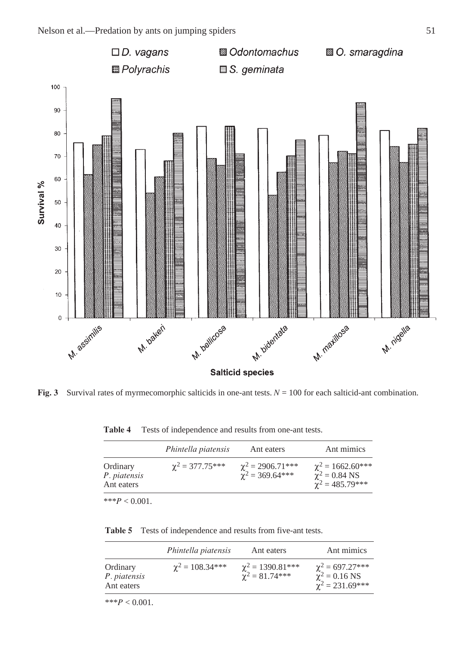

**Fig. 3** Survival rates of myrmecomorphic salticids in one-ant tests. *N* = 100 for each salticid-ant combination.

**Table 4** Tests of independence and results from one-ant tests.

|                                        | Phintella piatensis    | Ant eaters                                           | Ant mimics                                                             |
|----------------------------------------|------------------------|------------------------------------------------------|------------------------------------------------------------------------|
| Ordinary<br>P. piatensis<br>Ant eaters | $\gamma^2 = 377.75***$ | $\chi^2$ = 2906.71***<br>$\ddot{\chi}^2 = 369.64***$ | $\chi^2 = 1662.60^{***}$<br>$\chi^2 = 0.84$ NS<br>$\chi^2 = 485.79***$ |

\*\*\**P* < 0.001.

**Table 5** Tests of independence and results from five-ant tests.

|                                        | Phintella piatensis    | Ant eaters                                   | Ant mimics                                                         |
|----------------------------------------|------------------------|----------------------------------------------|--------------------------------------------------------------------|
| Ordinary<br>P. piatensis<br>Ant eaters | $\gamma^2 = 108.34***$ | $\chi^2 = 1390.81***$<br>$\chi^2 = 81.74***$ | $\chi^2 = 697.27***$<br>$\chi^2 = 0.16$ NS<br>$\chi^2 = 231.69***$ |
| *** $P < 0.001$ .                      |                        |                                              |                                                                    |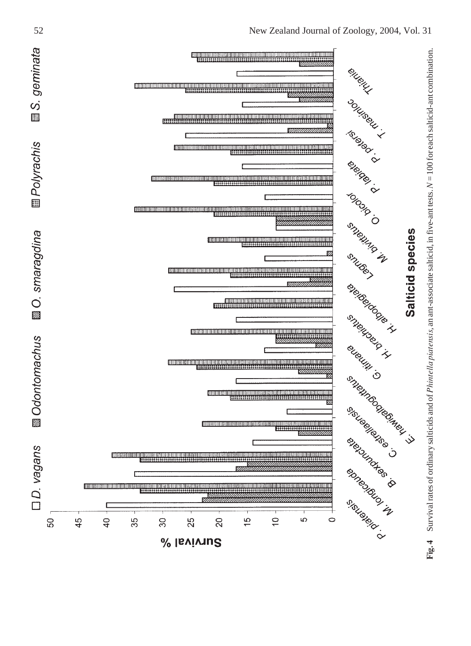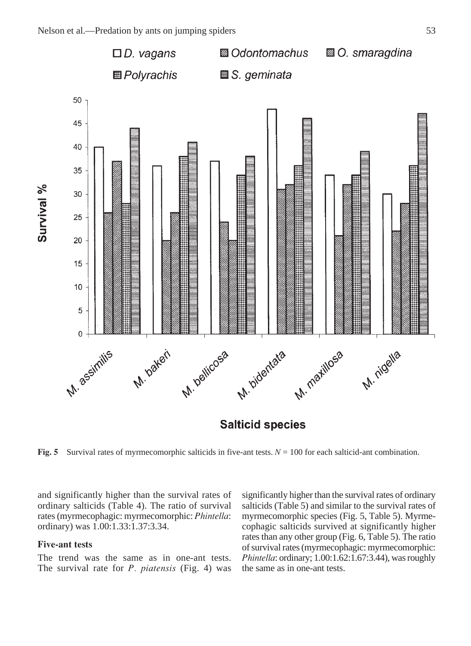

**Fig. 5** Survival rates of myrmecomorphic salticids in five-ant tests. *N* = 100 for each salticid-ant combination.

and significantly higher than the survival rates of ordinary salticids (Table 4). The ratio of survival rates (myrmecophagic: myrmecomorphic: *Phintella*: ordinary) was 1.00:1.33:1.37:3.34.

# **Five-ant tests**

The trend was the same as in one-ant tests. The survival rate for *P. piatensis* (Fig. 4) was significantly higher than the survival rates of ordinary salticids (Table 5) and similar to the survival rates of myrmecomorphic species (Fig. 5, Table 5). Myrmecophagic salticids survived at significantly higher rates than any other group (Fig. 6, Table 5). The ratio of survival rates (myrmecophagic: myrmecomorphic: *Phintella*: ordinary; 1.00:1.62:1.67:3.44), was roughly the same as in one-ant tests.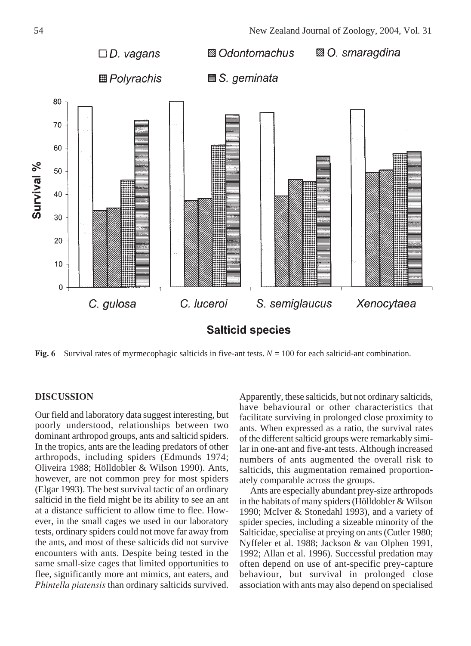

**Fig. 6** Survival rates of myrmecophagic salticids in five-ant tests.  $N = 100$  for each salticid-ant combination.

# **DISCUSSION**

Our field and laboratory data suggest interesting, but poorly understood, relationships between two dominant arthropod groups, ants and salticid spiders. In the tropics, ants are the leading predators of other arthropods, including spiders (Edmunds 1974; Oliveira 1988; Hölldobler & Wilson 1990). Ants, however, are not common prey for most spiders (Elgar 1993). The best survival tactic of an ordinary salticid in the field might be its ability to see an ant at a distance sufficient to allow time to flee. However, in the small cages we used in our laboratory tests, ordinary spiders could not move far away from the ants, and most of these salticids did not survive encounters with ants. Despite being tested in the same small-size cages that limited opportunities to flee, significantly more ant mimics, ant eaters, and *Phintella piatensis* than ordinary salticids survived.

Apparently, these salticids, but not ordinary salticids, have behavioural or other characteristics that facilitate surviving in prolonged close proximity to ants. When expressed as a ratio, the survival rates of the different salticid groups were remarkably similar in one-ant and five-ant tests. Although increased numbers of ants augmented the overall risk to salticids, this augmentation remained proportionately comparable across the groups.

Ants are especially abundant prey-size arthropods in the habitats of many spiders (Hölldobler & Wilson 1990; McIver & Stonedahl 1993), and a variety of spider species, including a sizeable minority of the Salticidae, specialise at preying on ants (Cutler 1980; Nyffeler et al. 1988; Jackson & van Olphen 1991, 1992; Allan et al. 1996). Successful predation may often depend on use of ant-specific prey-capture behaviour, but survival in prolonged close association with ants may also depend on specialised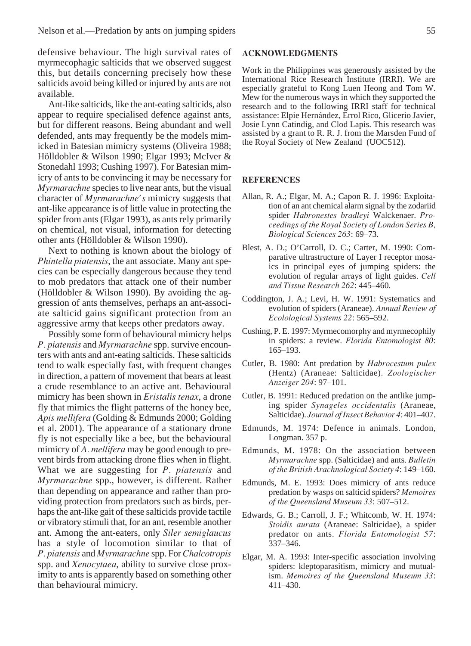defensive behaviour. The high survival rates of myrmecophagic salticids that we observed suggest this, but details concerning precisely how these salticids avoid being killed or injured by ants are not available.

Ant-like salticids, like the ant-eating salticids, also appear to require specialised defence against ants, but for different reasons. Being abundant and well defended, ants may frequently be the models mimicked in Batesian mimicry systems (Oliveira 1988; Hölldobler & Wilson 1990; Elgar 1993; McIver & Stonedahl 1993; Cushing 1997). For Batesian mimicry of ants to be convincing it may be necessary for *Myrmarachne* species to live near ants, but the visual character of *Myrmarachne's* mimicry suggests that ant-like appearance is of little value in protecting the spider from ants (Elgar 1993), as ants rely primarily on chemical, not visual, information for detecting other ants (Hölldobler & Wilson 1990).

Next to nothing is known about the biology of *Phintella piatensis*, the ant associate. Many ant species can be especially dangerous because they tend to mob predators that attack one of their number (Hölldobler & Wilson 1990). By avoiding the aggression of ants themselves, perhaps an ant-associate salticid gains significant protection from an aggressive army that keeps other predators away.

Possibly some form of behavioural mimicry helps *P. piatensis* and *Myrmarachne* spp. survive encounters with ants and ant-eating salticids. These salticids tend to walk especially fast, with frequent changes in direction, a pattern of movement that bears at least a crude resemblance to an active ant. Behavioural mimicry has been shown in *Eristalis tenax*, a drone fly that mimics the flight patterns of the honey bee, *Apis mellifera* (Golding & Edmunds 2000; Golding et al. 2001). The appearance of a stationary drone fly is not especially like a bee, but the behavioural mimicry of *A. mellifera* may be good enough to prevent birds from attacking drone flies when in flight. What we are suggesting for *P. piatensis* and *Myrmarachne* spp., however, is different. Rather than depending on appearance and rather than providing protection from predators such as birds, perhaps the ant-like gait of these salticids provide tactile or vibratory stimuli that, for an ant, resemble another ant. Among the ant-eaters, only *Siler semiglaucus* has a style of locomotion similar to that of *P. piatensis* and *Myrmarachne* spp. For *Chalcotropis* spp. and *Xenocytaea*, ability to survive close proximity to ants is apparently based on something other than behavioural mimicry.

# **ACKNOWLEDGMENTS**

Work in the Philippines was generously assisted by the International Rice Research Institute (IRRI). We are especially grateful to Kong Luen Heong and Tom W. Mew for the numerous ways in which they supported the research and to the following IRRI staff for technical assistance: Elpie Hernández, Errol Rico, Glicerio Javier, Josie Lynn Catindig, and Clod Lapis. This research was assisted by a grant to R. R. J. from the Marsden Fund of the Royal Society of New Zealand (UOC512).

#### **REFERENCES**

- Allan, R. A.; Elgar, M. A.; Capon R. J. 1996: Exploitation of an ant chemical alarm signal by the zodariid spider *Habronestes bradleyi* Walckenaer. *Proceedings of the Royal Society of London Series B, Biological Sciences 263*: 69–73.
- Blest, A. D.; O'Carroll, D. C.; Carter, M. 1990: Comparative ultrastructure of Layer I receptor mosaics in principal eyes of jumping spiders: the evolution of regular arrays of light guides. *Cell and Tissue Research 262*: 445–460.
- Coddington, J. A.; Levi, H. W. 1991: Systematics and evolution of spiders (Araneae). *Annual Review of Ecolological Systems 22*: 565–592.
- Cushing, P. E. 1997: Myrmecomorphy and myrmecophily in spiders: a review. *Florida Entomologist 80*: 165–193.
- Cutler, B. 1980: Ant predation by *Habrocestum pulex* (Hentz) (Araneae: Salticidae). *Zoologischer Anzeiger 204*: 97–101.
- Cutler, B. 1991: Reduced predation on the antlike jumping spider *Synageles occidentalis* (Araneae, Salticidae). *Journal of Insect Behavior 4*: 401–407.
- Edmunds, M. 1974: Defence in animals. London, Longman. 357 p.
- Edmunds, M. 1978: On the association between *Myrmarachne* spp. (Salticidae) and ants. *Bulletin of the British Arachnological Society 4*: 149–160.
- Edmunds, M. E. 1993: Does mimicry of ants reduce predation by wasps on salticid spiders? *Memoires of the Queensland Museum 33*: 507–512.
- Edwards, G. B.; Carroll, J. F.; Whitcomb, W. H. 1974: *Stoidis aurata* (Araneae: Salticidae), a spider predator on ants. *Florida Entomologist 57*: 337–346.
- Elgar, M. A. 1993: Inter-specific association involving spiders: kleptoparasitism, mimicry and mutualism. *Memoires of the Queensland Museum 33*: 411–430.